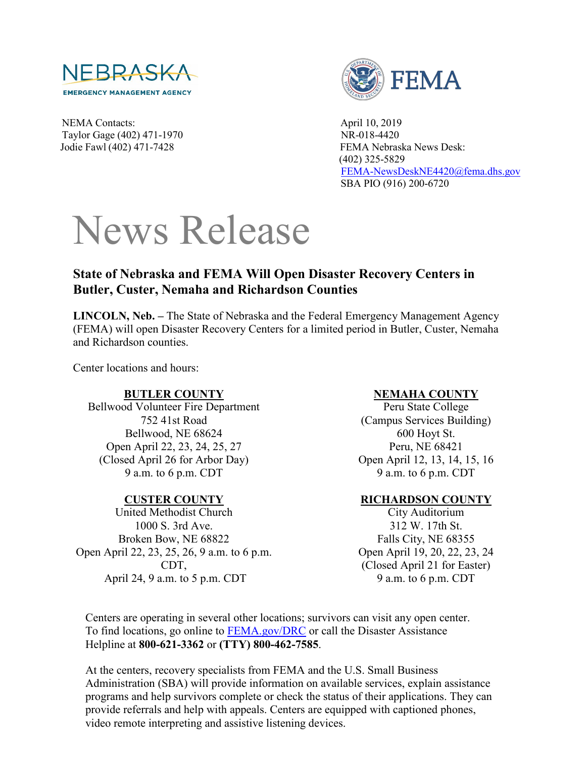

NEMA Contacts: April 10, 2019 Taylor Gage (402) 471-1970 NR-018-4420



Jodie Fawl (402) 471-7428 FEMA Nebraska News Desk: (402) 325-5829 [FEMA-NewsDeskNE4420@fema.dhs.gov](mailto:FEMA-NewsDeskNE4420@fema.dhs.gov) SBA PIO (916) 200-6720

# News Release

# **State of Nebraska and FEMA Will Open Disaster Recovery Centers in Butler, Custer, Nemaha and Richardson Counties**

**LINCOLN, Neb. –** The State of Nebraska and the Federal Emergency Management Agency (FEMA) will open Disaster Recovery Centers for a limited period in Butler, Custer, Nemaha and Richardson counties.

Center locations and hours:

#### **BUTLER COUNTY**

Bellwood Volunteer Fire Department 752 41st Road Bellwood, NE 68624 Open April 22, 23, 24, 25, 27 (Closed April 26 for Arbor Day) 9 a.m. to 6 p.m. CDT

#### **CUSTER COUNTY**

United Methodist Church 1000 S. 3rd Ave. Broken Bow, NE 68822 Open April 22, 23, 25, 26, 9 a.m. to 6 p.m. CDT, April 24, 9 a.m. to 5 p.m. CDT

#### **NEMAHA COUNTY**

Peru State College (Campus Services Building) 600 Hoyt St. Peru, NE 68421 Open April 12, 13, 14, 15, 16 9 a.m. to 6 p.m. CDT

### **RICHARDSON COUNTY**

City Auditorium 312 W. 17th St. Falls City, NE 68355 Open April 19, 20, 22, 23, 24 (Closed April 21 for Easter) 9 a.m. to 6 p.m. CDT

Centers are operating in several other locations; survivors can visit any open center. To find locations, go online to [FEMA.gov/DRC](http://www.fema.gov/DRC) or call the Disaster Assistance Helpline at **800-621-3362** or **(TTY) 800-462-7585**.

At the centers, recovery specialists from FEMA and the U.S. Small Business Administration (SBA) will provide information on available services, explain assistance programs and help survivors complete or check the status of their applications. They can provide referrals and help with appeals. Centers are equipped with captioned phones, video remote interpreting and assistive listening devices.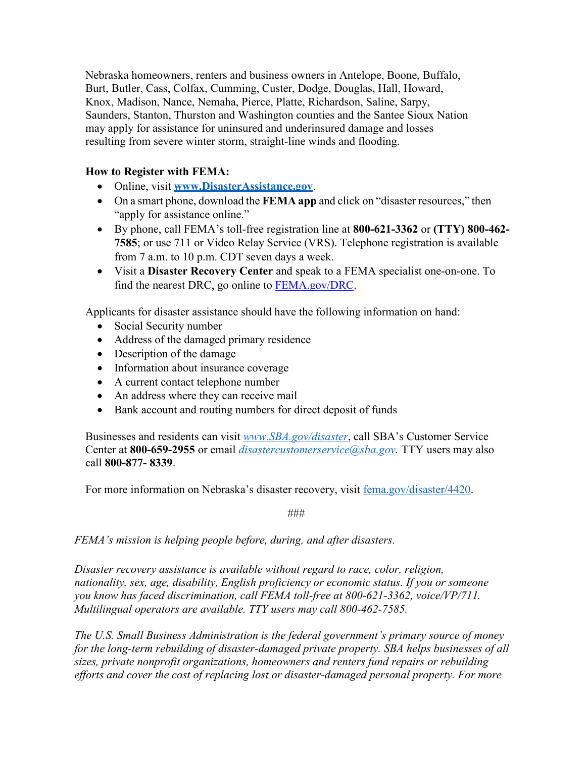Nebraska homeowners, renters and business owners in Antelope, Boone, Buffalo, Burt, Butler, Cass, Colfax, Cumming, Custer, Dodge, Douglas, Hall, Howard, Knox, Madison, Nance, Nemaha, Pierce, Platte, Richardson, Saline, Sarpy, Saunders, Stanton, Thurston and Washington counties and the Santee Sioux Nation may apply for assistance for uninsured and underinsured damage and losses resulting from severe winter storm, straight-line winds and flooding.

## **How to Register with FEMA:**

- Online, visit **[www.DisasterAssistance.gov](http://www.disasterassistance.gov/)**.
- On a smart phone, download the **FEMA app** and click on "disaster resources," then "apply for assistance online."
- By phone, call FEMA's toll-free registration line at **800-621-3362** or **(TTY) 800-462- 7585**; or use 711 or Video Relay Service (VRS). Telephone registration is available from 7 a.m. to 10 p.m. CDT seven days a week.
- Visit a **Disaster Recovery Center** and speak to a FEMA specialist one-on-one. To find the nearest DRC, go online to [FEMA.gov/DRC.](http://www.fema.gov/DRC)

Applicants for disaster assistance should have the following information on hand:

- Social Security number
- Address of the damaged primary residence
- Description of the damage
- Information about insurance coverage
- A current contact telephone number
- An address where they can receive mail
- Bank account and routing numbers for direct deposit of funds

Businesses and residents can visit *[www.SBA.gov/disaster](http://www.sba.gov/disaster)*, call SBA's Customer Service Center at **800-659-2955** or email *[disastercustomerservice@sba.gov.](mailto:disastercustomerservice@sba.gov)* TTY users may also call **800-877- 8339**.

For more information on Nebraska's disaster recovery, visit [fema.gov/disaster/4420.](https://www.fema.gov/disaster/4420)

###

*FEMA's mission is helping people before, during, and after disasters.* 

*Disaster recovery assistance is available without regard to race, color, religion, nationality, sex, age, disability, English proficiency or economic status. If you or someone you know has faced discrimination, call FEMA toll-free at 800-621-3362, voice/VP/711. Multilingual operators are available. TTY users may call 800-462-7585.* 

*The U.S. Small Business Administration is the federal government's primary source of money for the long-term rebuilding of disaster-damaged private property. SBA helps businesses of all sizes, private nonprofit organizations, homeowners and renters fund repairs or rebuilding efforts and cover the cost of replacing lost or disaster-damaged personal property. For more*